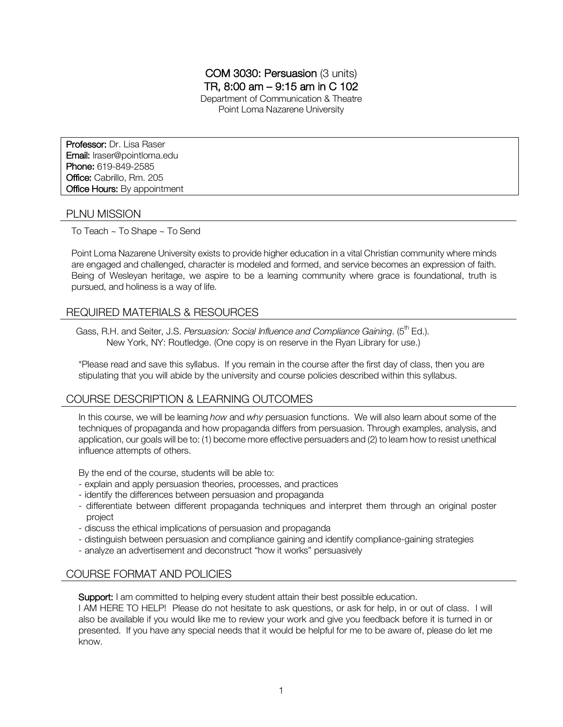## COM 3030: Persuasion (3 units) TR, 8:00 am – 9:15 am in C 102 Department of Communication & Theatre Point Loma Nazarene University

Professor: Dr. Lisa Raser Email: lraser@pointloma.edu Phone: 619-849-2585 Office: Cabrillo, Rm. 205 **Office Hours: By appointment** 

## PLNU MISSION

To Teach ~ To Shape ~ To Send

Point Loma Nazarene University exists to provide higher education in a vital Christian community where minds are engaged and challenged, character is modeled and formed, and service becomes an expression of faith. Being of Wesleyan heritage, we aspire to be a learning community where grace is foundational, truth is pursued, and holiness is a way of life.

# REQUIRED MATERIALS & RESOURCES

Gass, R.H. and Seiter, J.S. *Persuasion: Social Influence and Compliance Gaining.* (5<sup>th</sup> Ed.). New York, NY: Routledge. (One copy is on reserve in the Ryan Library for use.)

\*Please read and save this syllabus. If you remain in the course after the first day of class, then you are stipulating that you will abide by the university and course policies described within this syllabus.

# COURSE DESCRIPTION & LEARNING OUTCOMES

In this course, we will be learning *how* and *why* persuasion functions. We will also learn about some of the techniques of propaganda and how propaganda differs from persuasion. Through examples, analysis, and application, our goals will be to: (1) become more effective persuaders and (2) to learn how to resist unethical influence attempts of others.

By the end of the course, students will be able to:

- explain and apply persuasion theories, processes, and practices
- identify the differences between persuasion and propaganda
- differentiate between different propaganda techniques and interpret them through an original poster project
- discuss the ethical implications of persuasion and propaganda
- distinguish between persuasion and compliance gaining and identify compliance-gaining strategies
- analyze an advertisement and deconstruct "how it works" persuasively

# COURSE FORMAT AND POLICIES

Support: I am committed to helping every student attain their best possible education.

I AM HERE TO HELP! Please do not hesitate to ask questions, or ask for help, in or out of class. I will also be available if you would like me to review your work and give you feedback before it is turned in or presented. If you have any special needs that it would be helpful for me to be aware of, please do let me know.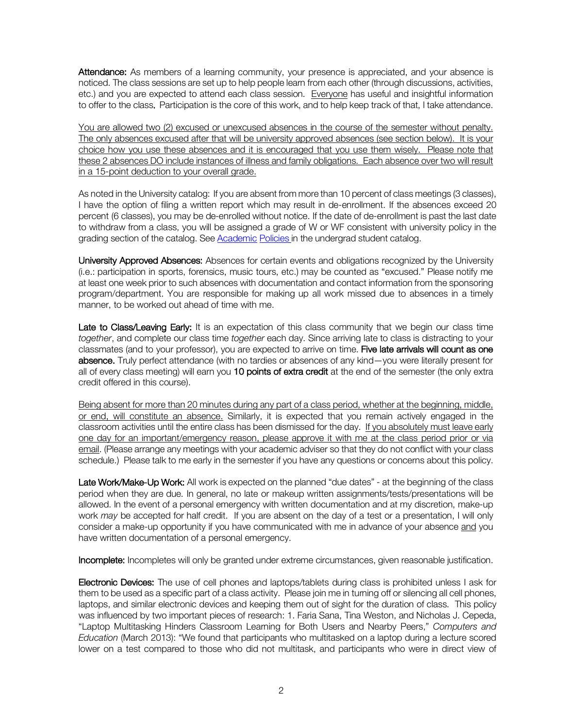Attendance: As members of a learning community, your presence is appreciated, and your absence is noticed. The class sessions are set up to help people learn from each other (through discussions, activities, etc.) and you are expected to attend each class session. Everyone has useful and insightful information to offer to the class. Participation is the core of this work, and to help keep track of that, I take attendance.

You are allowed two (2) excused or unexcused absences in the course of the semester without penalty. The only absences excused after that will be university approved absences (see section below). It is your choice how you use these absences and it is encouraged that you use them wisely. Please note that these 2 absences DO include instances of illness and family obligations. Each absence over two will result in a 15-point deduction to your overall grade.

As noted in the University catalog: If you are absent from more than 10 percent of class meetings (3 classes), I have the option of filing a written report which may result in de-enrollment. If the absences exceed 20 percent (6 classes), you may be de-enrolled without notice. If the date of de-enrollment is past the last date to withdraw from a class, you will be assigned a grade of W or WF consistent with university policy in the grading section of the catalog. See Academic Policies in the undergrad student catalog.

University Approved Absences: Absences for certain events and obligations recognized by the University (i.e.: participation in sports, forensics, music tours, etc.) may be counted as "excused." Please notify me at least one week prior to such absences with documentation and contact information from the sponsoring program/department. You are responsible for making up all work missed due to absences in a timely manner, to be worked out ahead of time with me.

Late to Class/Leaving Early: It is an expectation of this class community that we begin our class time *together*, and complete our class time *together* each day. Since arriving late to class is distracting to your classmates (and to your professor), you are expected to arrive on time. Five late arrivals will count as one absence. Truly perfect attendance (with no tardies or absences of any kind—you were literally present for all of every class meeting) will earn you 10 points of extra credit at the end of the semester (the only extra credit offered in this course).

Being absent for more than 20 minutes during any part of a class period, whether at the beginning, middle, or end, will constitute an absence. Similarly, it is expected that you remain actively engaged in the classroom activities until the entire class has been dismissed for the day. If you absolutely must leave early one day for an important/emergency reason, please approve it with me at the class period prior or via email. (Please arrange any meetings with your academic adviser so that they do not conflict with your class schedule.) Please talk to me early in the semester if you have any questions or concerns about this policy.

Late Work/Make-Up Work: All work is expected on the planned "due dates" - at the beginning of the class period when they are due. In general, no late or makeup written assignments/tests/presentations will be allowed. In the event of a personal emergency with written documentation and at my discretion, make-up work *may* be accepted for half credit. If you are absent on the day of a test or a presentation, I will only consider a make-up opportunity if you have communicated with me in advance of your absence and you have written documentation of a personal emergency.

Incomplete: Incompletes will only be granted under extreme circumstances, given reasonable justification.

Electronic Devices: The use of cell phones and laptops/tablets during class is prohibited unless I ask for them to be used as a specific part of a class activity. Please join me in turning off or silencing all cell phones, laptops, and similar electronic devices and keeping them out of sight for the duration of class. This policy was influenced by two important pieces of research: 1. Faria Sana, Tina Weston, and Nicholas J. Cepeda, "Laptop Multitasking Hinders Classroom Learning for Both Users and Nearby Peers," *Computers and Education* (March 2013): "We found that participants who multitasked on a laptop during a lecture scored lower on a test compared to those who did not multitask, and participants who were in direct view of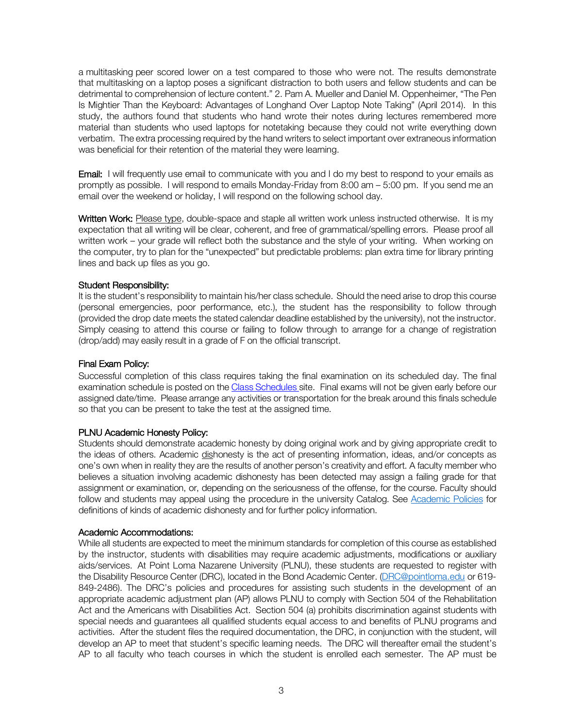a multitasking peer scored lower on a test compared to those who were not. The results demonstrate that multitasking on a laptop poses a significant distraction to both users and fellow students and can be detrimental to comprehension of lecture content." 2. Pam A. Mueller and Daniel M. Oppenheimer, "The Pen Is Mightier Than the Keyboard: Advantages of Longhand Over Laptop Note Taking" (April 2014). In this study, the authors found that students who hand wrote their notes during lectures remembered more material than students who used laptops for notetaking because they could not write everything down verbatim. The extra processing required by the hand writers to select important over extraneous information was beneficial for their retention of the material they were learning.

**Email:** I will frequently use email to communicate with you and I do my best to respond to your emails as promptly as possible. I will respond to emails Monday-Friday from 8:00 am – 5:00 pm. If you send me an email over the weekend or holiday, I will respond on the following school day.

Written Work: Please type, double-space and staple all written work unless instructed otherwise. It is my expectation that all writing will be clear, coherent, and free of grammatical/spelling errors. Please proof all written work – your grade will reflect both the substance and the style of your writing. When working on the computer, try to plan for the "unexpected" but predictable problems: plan extra time for library printing lines and back up files as you go.

### Student Responsibility:

It is the student's responsibility to maintain his/her class schedule. Should the need arise to drop this course (personal emergencies, poor performance, etc.), the student has the responsibility to follow through (provided the drop date meets the stated calendar deadline established by the university), not the instructor. Simply ceasing to attend this course or failing to follow through to arrange for a change of registration (drop/add) may easily result in a grade of F on the official transcript.

#### Final Exam Policy:

Successful completion of this class requires taking the final examination on its scheduled day. The final examination schedule is posted on the Class Schedules site. Final exams will not be given early before our assigned date/time. Please arrange any activities or transportation for the break around this finals schedule so that you can be present to take the test at the assigned time.

#### PLNU Academic Honesty Policy:

Students should demonstrate academic honesty by doing original work and by giving appropriate credit to the ideas of others. Academic dishonesty is the act of presenting information, ideas, and/or concepts as one's own when in reality they are the results of another person's creativity and effort. A faculty member who believes a situation involving academic dishonesty has been detected may assign a failing grade for that assignment or examination, or, depending on the seriousness of the offense, for the course. Faculty should follow and students may appeal using the procedure in the university Catalog. See Academic Policies for definitions of kinds of academic dishonesty and for further policy information.

#### Academic Accommodations:

While all students are expected to meet the minimum standards for completion of this course as established by the instructor, students with disabilities may require academic adjustments, modifications or auxiliary aids/services. At Point Loma Nazarene University (PLNU), these students are requested to register with the Disability Resource Center (DRC), located in the Bond Academic Center. (DRC@pointloma.edu or 619- 849-2486). The DRC's policies and procedures for assisting such students in the development of an appropriate academic adjustment plan (AP) allows PLNU to comply with Section 504 of the Rehabilitation Act and the Americans with Disabilities Act. Section 504 (a) prohibits discrimination against students with special needs and guarantees all qualified students equal access to and benefits of PLNU programs and activities. After the student files the required documentation, the DRC, in conjunction with the student, will develop an AP to meet that student's specific learning needs. The DRC will thereafter email the student's AP to all faculty who teach courses in which the student is enrolled each semester. The AP must be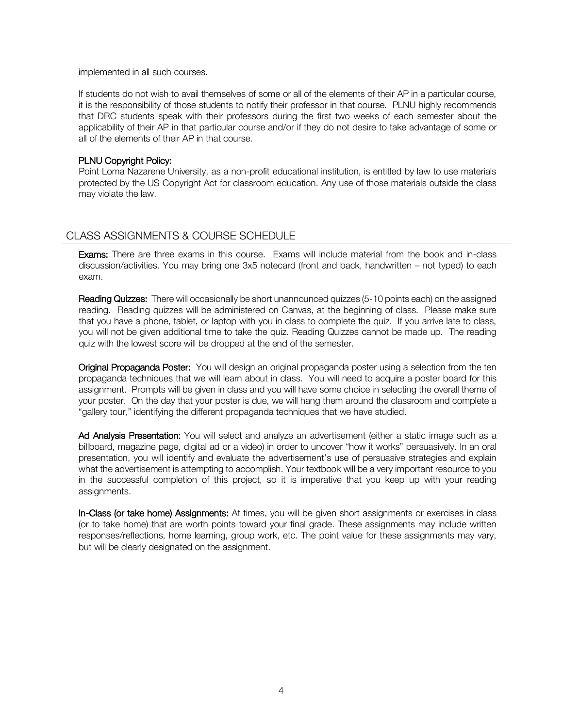implemented in all such courses.

If students do not wish to avail themselves of some or all of the elements of their AP in a particular course, it is the responsibility of those students to notify their professor in that course. PLNU highly recommends that DRC students speak with their professors during the first two weeks of each semester about the applicability of their AP in that particular course and/or if they do not desire to take advantage of some or all of the elements of their AP in that course.

## PLNU Copyright Policy:

Point Loma Nazarene University, as a non-profit educational institution, is entitled by law to use materials protected by the US Copyright Act for classroom education. Any use of those materials outside the class may violate the law.

# CLASS ASSIGNMENTS & COURSE SCHEDULE

**Exams:** There are three exams in this course. Exams will include material from the book and in-class discussion/activities. You may bring one 3x5 notecard (front and back, handwritten – not typed) to each exam.

Reading Quizzes: There will occasionally be short unannounced quizzes (5-10 points each) on the assigned reading. Reading quizzes will be administered on Canvas, at the beginning of class. Please make sure that you have a phone, tablet, or laptop with you in class to complete the quiz. If you arrive late to class, you will not be given additional time to take the quiz. Reading Quizzes cannot be made up. The reading quiz with the lowest score will be dropped at the end of the semester.

Original Propaganda Poster: You will design an original propaganda poster using a selection from the ten propaganda techniques that we will learn about in class. You will need to acquire a poster board for this assignment. Prompts will be given in class and you will have some choice in selecting the overall theme of your poster. On the day that your poster is due, we will hang them around the classroom and complete a "gallery tour," identifying the different propaganda techniques that we have studied.

Ad Analysis Presentation: You will select and analyze an advertisement (either a static image such as a billboard, magazine page, digital ad or a video) in order to uncover "how it works" persuasively. In an oral presentation, you will identify and evaluate the advertisement's use of persuasive strategies and explain what the advertisement is attempting to accomplish. Your textbook will be a very important resource to you in the successful completion of this project, so it is imperative that you keep up with your reading assignments.

In-Class (or take home) Assignments: At times, you will be given short assignments or exercises in class (or to take home) that are worth points toward your final grade. These assignments may include written responses/reflections, home learning, group work, etc. The point value for these assignments may vary, but will be clearly designated on the assignment.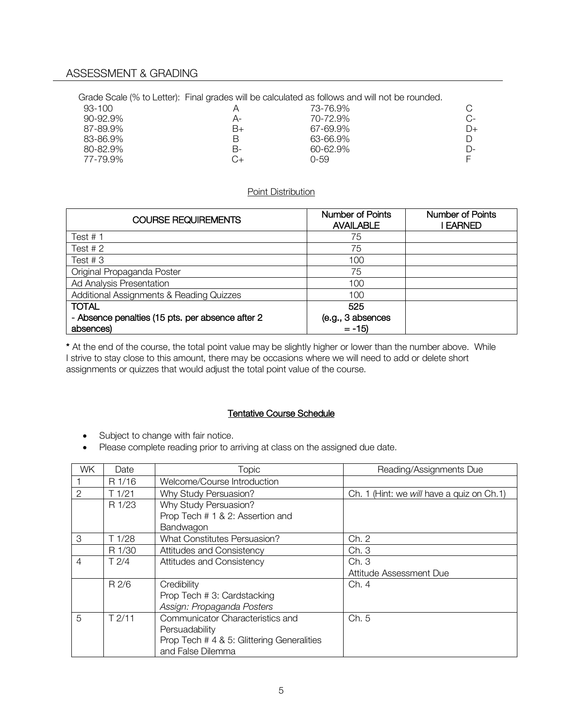## ASSESSMENT & GRADING

Grade Scale (% to Letter): Final grades will be calculated as follows and will not be rounded.

|    | 73-76.9% |    |
|----|----------|----|
| А- | 70-72.9% | C- |
| B+ | 67-69.9% | D+ |
| В  | 63-66.9% |    |
| в- | 60-62.9% | D- |
| Ω+ | 0-59     |    |
|    |          |    |

## Point Distribution

| <b>COURSE REQUIREMENTS</b>                       | Number of Points<br><b>AVAILABLE</b> | <b>Number of Points</b><br><b>EARNED</b> |
|--------------------------------------------------|--------------------------------------|------------------------------------------|
| Test $# 1$                                       | 75                                   |                                          |
| Test $# 2$                                       | 75                                   |                                          |
| Test $#3$                                        | 100                                  |                                          |
| Original Propaganda Poster                       | 75                                   |                                          |
| Ad Analysis Presentation                         | 100                                  |                                          |
| Additional Assignments & Reading Quizzes         | 100                                  |                                          |
| <b>TOTAL</b>                                     | 525                                  |                                          |
| - Absence penalties (15 pts. per absence after 2 | (e.g., 3 absences                    |                                          |
| absences)                                        | $= -15$                              |                                          |

\* At the end of the course, the total point value may be slightly higher or lower than the number above. While I strive to stay close to this amount, there may be occasions where we will need to add or delete short assignments or quizzes that would adjust the total point value of the course.

### Tentative Course Schedule

- Subject to change with fair notice.
- Please complete reading prior to arriving at class on the assigned due date.

| <b>WK</b>      | Date       | <b>Topic</b>                               | Reading/Assignments Due                    |
|----------------|------------|--------------------------------------------|--------------------------------------------|
|                | R 1/16     | Welcome/Course Introduction                |                                            |
| $\mathcal{P}$  | T1/21      | Why Study Persuasion?                      | Ch. 1 (Hint: we will have a quiz on Ch. 1) |
|                | R 1/23     | Why Study Persuasion?                      |                                            |
|                |            | Prop Tech # 1 & 2: Assertion and           |                                            |
|                |            | Bandwagon                                  |                                            |
| 3              | T 1/28     | <b>What Constitutes Persuasion?</b>        | Ch. 2                                      |
|                | R 1/30     | Attitudes and Consistency                  | Ch.3                                       |
| 4              | T2/4       | Attitudes and Consistency                  | Ch.3                                       |
|                |            |                                            | Attitude Assessment Due                    |
|                | R 2/6      | Credibility                                | Ch. 4                                      |
|                |            | Prop Tech # 3: Cardstacking                |                                            |
|                |            | Assign: Propaganda Posters                 |                                            |
| $\overline{5}$ | $T$ $2/11$ | Communicator Characteristics and           | Ch. 5                                      |
|                |            | Persuadability                             |                                            |
|                |            | Prop Tech # 4 & 5: Glittering Generalities |                                            |
|                |            | and False Dilemma                          |                                            |